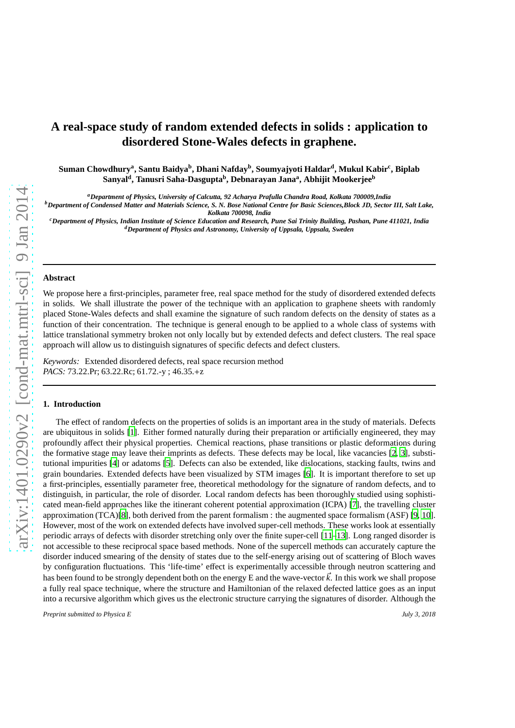# **A real-space study of random extended defects in solids : application to disordered Stone-Wales defects in graphene.**

**Suman Chowdhury<sup>a</sup> , Santu Baidya<sup>b</sup> , Dhani Nafday<sup>b</sup> , Soumyajyoti Haldar<sup>d</sup> , Mukul Kabir<sup>c</sup> , Biplab Sanyal<sup>d</sup> , Tanusri Saha-Dasgupta<sup>b</sup> , Debnarayan Jana<sup>a</sup> , Abhijit Mookerjee<sup>b</sup>**

*<sup>a</sup>Department of Physics, University of Calcutta, 92 Acharya Prafulla Chandra Road, Kolkata 700009,India*

*<sup>b</sup>Department of Condensed Matter and Materials Science, S. N. Bose National Centre for Basic Sciences,Block JD, Sector III, Salt Lake, Kolkata 700098, India*

*<sup>c</sup>Department of Physics, Indian Institute of Science Education and Research, Pune Sai Trinity Building, Pashan, Pune 411021, India <sup>d</sup>Department of Physics and Astronomy, University of Uppsala, Uppsala, Sweden*

# **Abstract**

We propose here a first-principles, parameter free, real space method for the study of disordered extended defects in solids. We shall illustrate the power of the technique with an application to graphene sheets with randomly placed Stone-Wales defects and shall examine the signature of such random defects on the density of states as a function of their concentration. The technique is general enough to be applied to a whole class of systems with lattice translational symmetry broken not only locally but by extended defects and defect clusters. The real space approach will allow us to distinguish signatures of specific defects and defect clusters.

*Keywords:* Extended disordered defects, real space recursion method *PACS:* 73.22.Pr; 63.22.Rc; 61.72.-y ; 46.35.+z

#### **1. Introduction**

The effect of random defects on the properties of solids is an important area in the study of materials. Defects are ubiquitous in solids [\[1](#page-8-0)]. Either formed naturally during their preparation or artificially engineered, they may profoundly affect their physical properties. Chemical reactions, phase transitions or plastic deformations during the formative stage may leave their imprints as defects. These defects may be local, like vacancies [\[2,](#page-8-1) [3\]](#page-8-2), substitutional impurities [\[4\]](#page-8-3) or adatoms [\[5\]](#page-9-0). Defects can also be extended, like dislocations, stacking faults, twins and grain boundaries. Extended defects have been visualized by STM images [\[6\]](#page-9-1). It is important therefore to set up a first-principles, essentially parameter free, theoretical methodology for the signature of random defects, and to distinguish, in particular, the role of disorder. Local random defects has been thoroughly studied using sophisticated mean-field approaches like the itinerant coherent potential approximation (ICPA) [\[7\]](#page-9-2), the travelling cluster approximation (TCA)[\[8](#page-9-3)], both derived from the parent formalism : the augmented space formalism (ASF) [\[9,](#page-9-4) [10\]](#page-9-5). However, most of the work on extended defects have involved super-cell methods. These works look at essentially periodic arrays of defects with disorder stretching only over the finite super-cell [\[11](#page-9-6)[–13\]](#page-9-7). Long ranged disorder is not accessible to these reciprocal space based methods. None of the supercell methods can accurately capture the disorder induced smearing of the density of states due to the self-energy arising out of scattering of Bloch waves by configuration fluctuations. This 'life-time' effect is experimentally accessible through neutron scattering and has been found to be strongly dependent both on the energy E and the wave-vector  $\vec{k}$ . In this work we shall propose a fully real space technique, where the structure and Hamiltonian of the relaxed defected lattice goes as an input into a recursive algorithm which gives us the electronic structure carrying the signatures of disorder. Although the

*Preprint submitted to Physica E July 3, 2018*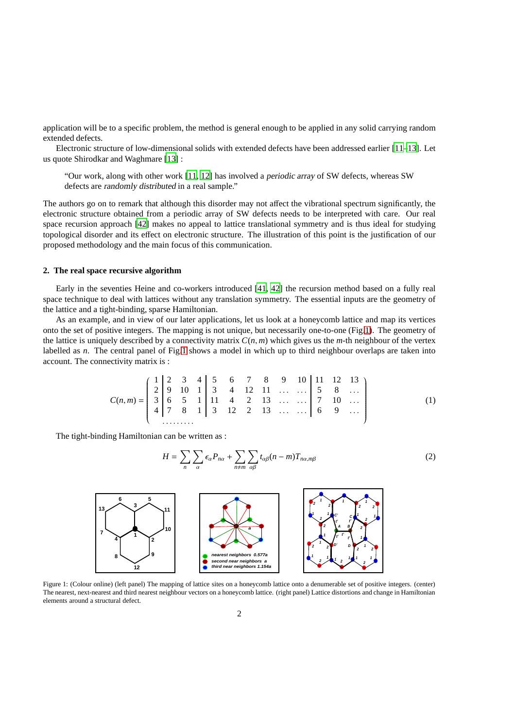application will be to a specific problem, the method is general enough to be applied in any solid carrying random extended defects.

Electronic structure of low-dimensional solids with extended defects have been addressed earlier [\[11](#page-9-6)[–13\]](#page-9-7). Let us quote Shirodkar and Waghmare [\[13\]](#page-9-7) :

"Our work, along with other work [\[11](#page-9-6), [12](#page-9-8)] has involved a periodic array of SW defects, whereas SW defects are randomly distributed in a real sample."

The authors go on to remark that although this disorder may not affect the vibrational spectrum significantly, the electronic structure obtained from a periodic array of SW defects needs to be interpreted with care. Our real space recursion approach [\[42](#page-10-0)] makes no appeal to lattice translational symmetry and is thus ideal for studying topological disorder and its effect on electronic structure. The illustration of this point is the justification of our proposed methodology and the main focus of this communication.

# **2. The real space recursive algorithm**

Early in the seventies Heine and co-workers introduced [\[41,](#page-10-1) [42](#page-10-0)] the recursion method based on a fully real space technique to deal with lattices without any translation symmetry. The essential inputs are the geometry of the lattice and a tight-binding, sparse Hamiltonian.

As an example, and in view of our later applications, let us look at a honeycomb lattice and map its vertices onto the set of positive integers. The mapping is not unique, but necessarily one-to-one (Fig[.1\)](#page-1-0). The geometry of the lattice is uniquely described by a connectivity matrix  $C(n, m)$  which gives us the *m*-th neighbour of the vertex labelled as *n*. The central panel of Fig[.1](#page-1-0) shows a model in which up to third neighbour overlaps are taken into account. The connectivity matrix is :

$$
C(n,m) = \left(\begin{array}{cccccc} 1 & 2 & 3 & 4 & 5 & 6 & 7 & 8 & 9 & 10 & 11 & 12 & 13 \\ 2 & 9 & 10 & 1 & 3 & 4 & 12 & 11 & \dots & \dots & 5 & 8 & \dots \\ 3 & 6 & 5 & 1 & 11 & 4 & 2 & 13 & \dots & \dots & 7 & 10 & \dots \\ 4 & 7 & 8 & 1 & 3 & 12 & 2 & 13 & \dots & \dots & 6 & 9 & \dots \end{array}\right) (1)
$$

The tight-binding Hamiltonian can be written as :

$$
H = \sum_{n} \sum_{\alpha} \epsilon_{\alpha} P_{n\alpha} + \sum_{n \neq m} \sum_{\alpha \beta} t_{\alpha\beta} (n - m) T_{n\alpha, m\beta} \tag{2}
$$



<span id="page-1-0"></span>Figure 1: (Colour online) (left panel) The mapping of lattice sites on a honeycomb lattice onto a denumerable set of positive integers. (center) The nearest, next-nearest and third nearest neighbour vectors on a honeycomb lattice. (right panel) Lattice distortions and change in Hamiltonian elements around a structural defect.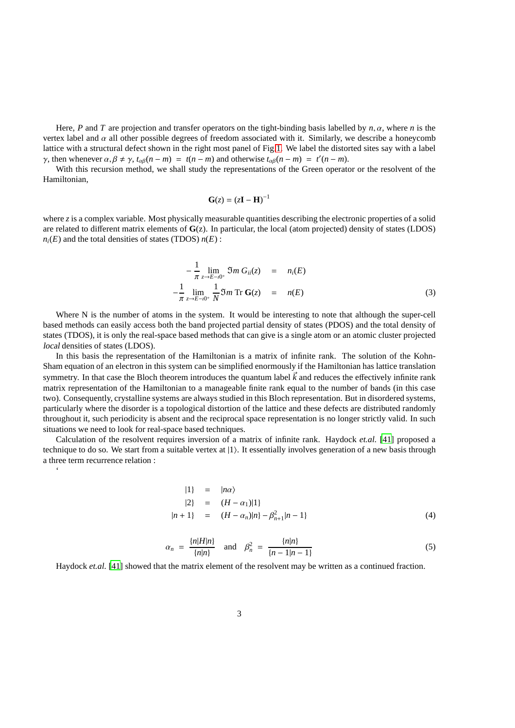Here, *P* and *T* are projection and transfer operators on the tight-binding basis labelled by *n*, α, where *n* is the vertex label and  $\alpha$  all other possible degrees of freedom associated with it. Similarly, we describe a honeycomb lattice with a structural defect shown in the right most panel of Fig[.1.](#page-1-0) We label the distorted sites say with a label *γ*, then whenever  $\alpha, \beta \neq \gamma$ ,  $t_{\alpha\beta}(n-m) = t(n-m)$  and otherwise  $t_{\alpha\beta}(n-m) = t'(n-m)$ .

With this recursion method, we shall study the representations of the Green operator or the resolvent of the Hamiltonian,

$$
\mathbf{G}(z) = (z\mathbf{I} - \mathbf{H})^{-1}
$$

where *z* is a complex variable. Most physically measurable quantities describing the electronic properties of a solid are related to different matrix elements of **G**(z). In particular, the local (atom projected) density of states (LDOS)  $n_i(E)$  and the total densities of states (TDOS)  $n(E)$ :

$$
-\frac{1}{\pi} \lim_{z \to E - i0^{+}} \mathfrak{I}m \, G_{ii}(z) = n_{i}(E)
$$
  

$$
-\frac{1}{\pi} \lim_{z \to E - i0^{+}} \frac{1}{N} \mathfrak{I}m \, \text{Tr} \, \mathbf{G}(z) = n(E)
$$
 (3)

Where N is the number of atoms in the system. It would be interesting to note that although the super-cell based methods can easily access both the band projected partial density of states (PDOS) and the total density of states (TDOS), it is only the real-space based methods that can give is a single atom or an atomic cluster projected local densities of states (LDOS).

In this basis the representation of the Hamiltonian is a matrix of infinite rank. The solution of the Kohn-Sham equation of an electron in this system can be simplified enormously if the Hamiltonian has lattice translation symmetry. In that case the Bloch theorem introduces the quantum label  $\vec{k}$  and reduces the effectively infinite rank matrix representation of the Hamiltonian to a manageable finite rank equal to the number of bands (in this case two). Consequently, crystalline systems are always studied in this Bloch representation. But in disordered systems, particularly where the disorder is a topological distortion of the lattice and these defects are distributed randomly throughout it, such periodicity is absent and the reciprocal space representation is no longer strictly valid. In such situations we need to look for real-space based techniques.

Calculation of the resolvent requires inversion of a matrix of infinite rank. Haydock *et.al.* [\[41\]](#page-10-1) proposed a technique to do so. We start from a suitable vertex at  $|1\rangle$ . It essentially involves generation of a new basis through a three term recurrence relation :

 $\ddot{\phantom{0}}$ 

$$
|1\rangle = |n\alpha\rangle
$$
  
\n
$$
|2\rangle = (H - \alpha_1)|1\rangle
$$
  
\n
$$
|n+1\rangle = (H - \alpha_n)|n\rangle - \beta_{n+1}^2|n-1\rangle
$$
 (4)

$$
\alpha_n = \frac{\{n|H|n\}}{\{n|n\}} \quad \text{and} \quad \beta_n^2 = \frac{\{n|n\}}{\{n-1|n-1\}} \tag{5}
$$

Haydock *et.al.* [\[41\]](#page-10-1) showed that the matrix element of the resolvent may be written as a continued fraction.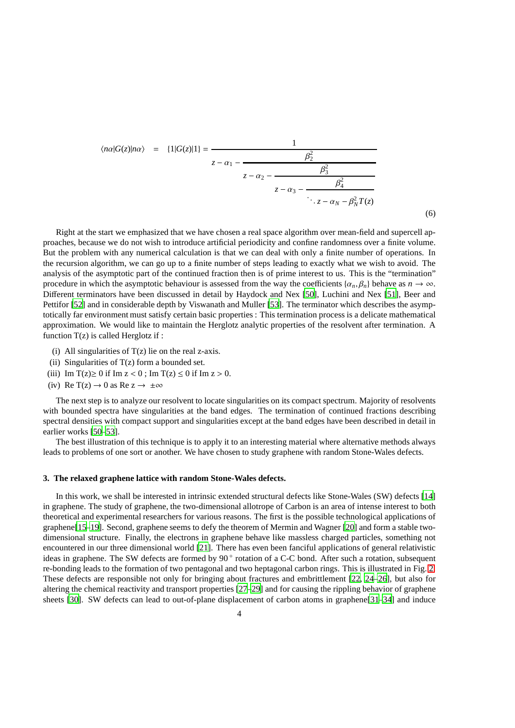$$
\langle n\alpha | G(z) | n\alpha \rangle = \{1 | G(z) | 1\} = \frac{1}{z - \alpha_1 - \frac{\beta_2^2}{z - \alpha_2 - \frac{\beta_3^2}{z - \alpha_3 - \frac{\beta_4^2}{\ddots z - \alpha_N - \beta_N^2 T(z)}}}}
$$

(6)

Right at the start we emphasized that we have chosen a real space algorithm over mean-field and supercell approaches, because we do not wish to introduce artificial periodicity and confine randomness over a finite volume. But the problem with any numerical calculation is that we can deal with only a finite number of operations. In the recursion algorithm, we can go up to a finite number of steps leading to exactly what we wish to avoid. The analysis of the asymptotic part of the continued fraction then is of prime interest to us. This is the "termination" procedure in which the asymptotic behaviour is assessed from the way the coefficients  $\{\alpha_n, \beta_n\}$  behave as  $n \to \infty$ . Different terminators have been discussed in detail by Haydock and Nex [\[50\]](#page-10-2), Luchini and Nex [\[51](#page-10-3)], Beer and Pettifor [\[52](#page-10-4)] and in considerable depth by Viswanath and Muller [\[53](#page-10-5)]. The terminator which describes the asymptotically far environment must satisfy certain basic properties : This termination process is a delicate mathematical approximation. We would like to maintain the Herglotz analytic properties of the resolvent after termination. A function  $T(z)$  is called Herglotz if :

- (i) All singularities of  $T(z)$  lie on the real z-axis.
- (ii) Singularities of  $T(z)$  form a bounded set.
- (iii) Im  $T(z) \ge 0$  if Im  $z < 0$ ; Im  $T(z) \le 0$  if Im  $z > 0$ .
- (iv) Re T(z)  $\rightarrow$  0 as Re z  $\rightarrow \pm \infty$

The next step is to analyze our resolvent to locate singularities on its compact spectrum. Majority of resolvents with bounded spectra have singularities at the band edges. The termination of continued fractions describing spectral densities with compact support and singularities except at the band edges have been described in detail in earlier works [\[50](#page-10-2)[–53\]](#page-10-5).

The best illustration of this technique is to apply it to an interesting material where alternative methods always leads to problems of one sort or another. We have chosen to study graphene with random Stone-Wales defects.

## **3. The relaxed graphene lattice with random Stone-Wales defects.**

In this work, we shall be interested in intrinsic extended structural defects like Stone-Wales (SW) defects [\[14\]](#page-9-9) in graphene. The study of graphene, the two-dimensional allotrope of Carbon is an area of intense interest to both theoretical and experimental researchers for various reasons. The first is the possible technological applications of graphene[\[15–](#page-9-10)[19\]](#page-9-11). Second, graphene seems to defy the theorem of Mermin and Wagner [\[20](#page-9-12)] and form a stable twodimensional structure. Finally, the electrons in graphene behave like massless charged particles, something not encountered in our three dimensional world [\[21](#page-9-13)]. There has even been fanciful applications of general relativistic ideas in graphene. The SW defects are formed by 90° rotation of a C-C bond. After such a rotation, subsequent re-bonding leads to the formation of two pentagonal and two heptagonal carbon rings. This is illustrated in Fig. [2.](#page-4-0) These defects are responsible not only for bringing about fractures and embrittlement [\[22](#page-9-14), [24](#page-9-15)[–26\]](#page-9-16), but also for altering the chemical reactivity and transport properties [\[27](#page-9-17)[–29\]](#page-9-18) and for causing the rippling behavior of graphene sheets [\[30\]](#page-9-19). SW defects can lead to out-of-plane displacement of carbon atoms in graphene[\[31](#page-9-20)[–34\]](#page-9-21) and induce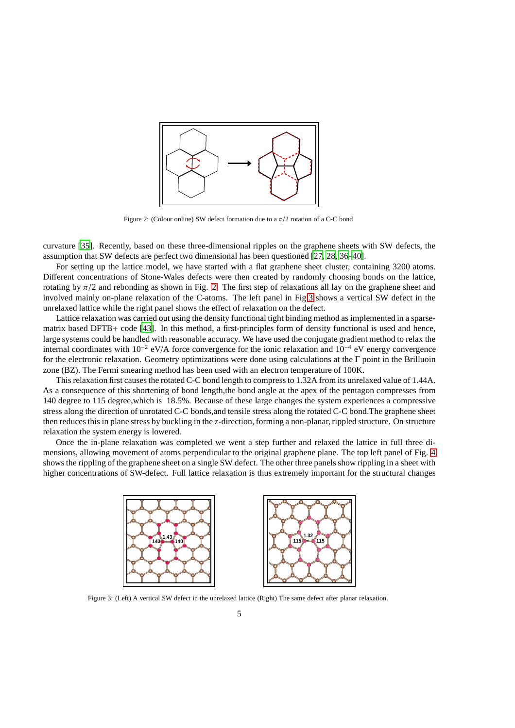

<span id="page-4-0"></span>Figure 2: (Colour online) SW defect formation due to a  $\pi/2$  rotation of a C-C bond

curvature [\[35\]](#page-9-22). Recently, based on these three-dimensional ripples on the graphene sheets with SW defects, the assumption that SW defects are perfect two dimensional has been questioned [\[27,](#page-9-17) [28](#page-9-23), [36](#page-10-6)[–40](#page-10-7)].

For setting up the lattice model, we have started with a flat graphene sheet cluster, containing 3200 atoms. Different concentrations of Stone-Wales defects were then created by randomly choosing bonds on the lattice, rotating by  $\pi/2$  and rebonding as shown in Fig. [2.](#page-4-0) The first step of relaxations all lay on the graphene sheet and involved mainly on-plane relaxation of the C-atoms. The left panel in Fig[.3](#page-4-1) shows a vertical SW defect in the unrelaxed lattice while the right panel shows the effect of relaxation on the defect.

Lattice relaxation was carried out using the density functional tight binding method as implemented in a sparsematrix based DFTB+ code [\[43\]](#page-10-8). In this method, a first-principles form of density functional is used and hence, large systems could be handled with reasonable accuracy. We have used the conjugate gradient method to relax the internal coordinates with 10−<sup>2</sup> eV/A force convergence for the ionic relaxation and 10−<sup>4</sup> eV energy convergence for the electronic relaxation. Geometry optimizations were done using calculations at the Γ point in the Brilluoin zone (BZ). The Fermi smearing method has been used with an electron temperature of 100K.

This relaxation first causes the rotated C-C bond length to compress to 1.32A from its unrelaxed value of 1.44A. As a consequence of this shortening of bond length,the bond angle at the apex of the pentagon compresses from 140 degree to 115 degree,which is 18.5%. Because of these large changes the system experiences a compressive stress along the direction of unrotated C-C bonds,and tensile stress along the rotated C-C bond.The graphene sheet then reduces this in plane stress by buckling in the z-direction, forming a non-planar, rippled structure. On structure relaxation the system energy is lowered.

Once the in-plane relaxation was completed we went a step further and relaxed the lattice in full three dimensions, allowing movement of atoms perpendicular to the original graphene plane. The top left panel of Fig. [4](#page-5-0) shows the rippling of the graphene sheet on a single SW defect. The other three panels show rippling in a sheet with higher concentrations of SW-defect. Full lattice relaxation is thus extremely important for the structural changes



<span id="page-4-1"></span>Figure 3: (Left) A vertical SW defect in the unrelaxed lattice (Right) The same defect after planar relaxation.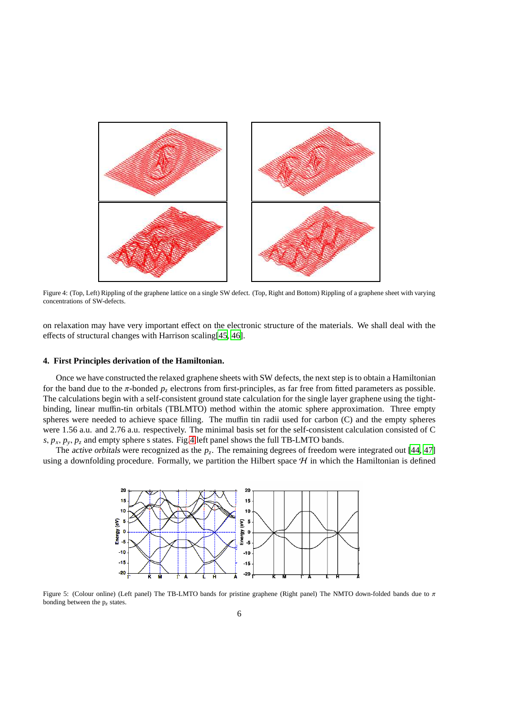

<span id="page-5-0"></span>Figure 4: (Top, Left) Rippling of the graphene lattice on a single SW defect. (Top, Right and Bottom) Rippling of a graphene sheet with varying concentrations of SW-defects.

on relaxation may have very important effect on the electronic structure of the materials. We shall deal with the effects of structural changes with Harrison scaling[\[45,](#page-10-9) [46\]](#page-10-10).

#### **4. First Principles derivation of the Hamiltonian.**

Once we have constructed the relaxed graphene sheets with SW defects, the next step is to obtain a Hamiltonian for the band due to the  $\pi$ -bonded  $p_z$  electrons from first-principles, as far free from fitted parameters as possible. The calculations begin with a self-consistent ground state calculation for the single layer graphene using the tightbinding, linear muffin-tin orbitals (TBLMTO) method within the atomic sphere approximation. Three empty spheres were needed to achieve space filling. The muffin tin radii used for carbon (C) and the empty spheres were 1.56 a.u. and 2.76 a.u. respectively. The minimal basis set for the self-consistent calculation consisted of C *s*,  $p_x$ ,  $p_y$ ,  $p_z$  and empty sphere s states. Fig[.4](#page-5-0) left panel shows the full TB-LMTO bands.

The *active orbitals* were recognized as the  $p_z$ . The remaining degrees of freedom were integrated out [\[44,](#page-10-11) [47\]](#page-10-12) using a downfolding procedure. Formally, we partition the Hilbert space  $H$  in which the Hamiltonian is defined



<span id="page-5-1"></span>Figure 5: (Colour online) (Left panel) The TB-LMTO bands for pristine graphene (Right panel) The NMTO down-folded bands due to π bonding between the p*<sup>z</sup>* states.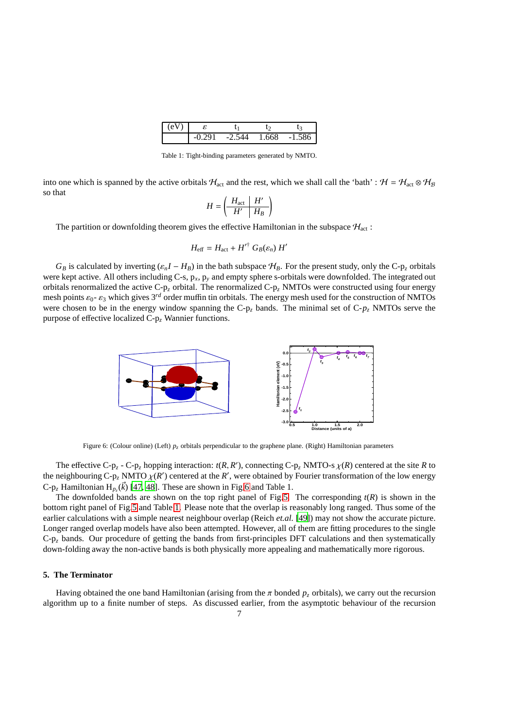| ÷ |        |     |     |
|---|--------|-----|-----|
|   | $\sim$ | i68 | - 1 |

<span id="page-6-1"></span>Table 1: Tight-binding parameters generated by NMTO.

into one which is spanned by the active orbitals  $H_{act}$  and the rest, which we shall call the 'bath' :  $H = H_{act} \otimes H_B$ so that

$$
H = \left(\begin{array}{c|c} H_{\text{act}} & H' \\ \hline H' & H_B \end{array}\right)
$$

The partition or downfolding theorem gives the effective Hamiltonian in the subspace  $H_{\text{act}}$ :

$$
H_{\text{eff}} = H_{\text{act}} + H'^{\dagger} G_B(\varepsilon_n) H'
$$

 $G_B$  is calculated by inverting  $(\varepsilon_n I - H_B)$  in the bath subspace  $H_B$ . For the present study, only the C-p<sub>z</sub> orbitals were kept active. All others including C-s, p*x*, p*<sup>y</sup>* and empty sphere s-orbitals were downfolded. The integrated out orbitals renormalized the active C-p*<sup>z</sup>* orbital. The renormalized C-p*<sup>z</sup>* NMTOs were constructed using four energy mesh points  $\varepsilon_0$ -  $\varepsilon_3$  which gives 3<sup>rd</sup> order muffin tin orbitals. The energy mesh used for the construction of NMTOs were chosen to be in the energy window spanning the  $C-p<sub>z</sub>$  bands. The minimal set of  $C-p<sub>z</sub>$  NMTOs serve the purpose of effective localized C-p*<sup>z</sup>* Wannier functions.



<span id="page-6-0"></span>Figure 6: (Colour online) (Left) *p<sup>z</sup>* orbitals perpendicular to the graphene plane. (Right) Hamiltonian parameters

The effective C-p<sub>z</sub> - C-p<sub>z</sub> hopping interaction:  $t(R, R')$ , connecting C-p<sub>z</sub> NMTO-s  $\chi(R)$  centered at the site *R* to the neighbouring C-p<sub>z</sub> NMTO  $\chi$ (*R*<sup>'</sup>) centered at the *R*<sup>'</sup>, were obtained by Fourier transformation of the low energy  $C-p_z$  Hamiltonian  $H_{p_z}(\vec{k})$  [\[47,](#page-10-12) [48\]](#page-10-13). These are shown in Fig[.6](#page-6-0) and Table 1.

The downfolded bands are shown on the top right panel of Fig[.5.](#page-5-1) The corresponding  $t(R)$  is shown in the bottom right panel of Fig[.5](#page-5-1) and Table [1.](#page-6-1) Please note that the overlap is reasonably long ranged. Thus some of the earlier calculations with a simple nearest neighbour overlap (Reich *et.al.* [\[49\]](#page-10-14)) may not show the accurate picture. Longer ranged overlap models have also been attempted. However, all of them are fitting procedures to the single  $C-p<sub>z</sub>$  bands. Our procedure of getting the bands from first-principles DFT calculations and then systematically down-folding away the non-active bands is both physically more appealing and mathematically more rigorous.

# **5. The Terminator**

Having obtained the one band Hamiltonian (arising from the  $\pi$  bonded  $p<sub>z</sub>$  orbitals), we carry out the recursion algorithm up to a finite number of steps. As discussed earlier, from the asymptotic behaviour of the recursion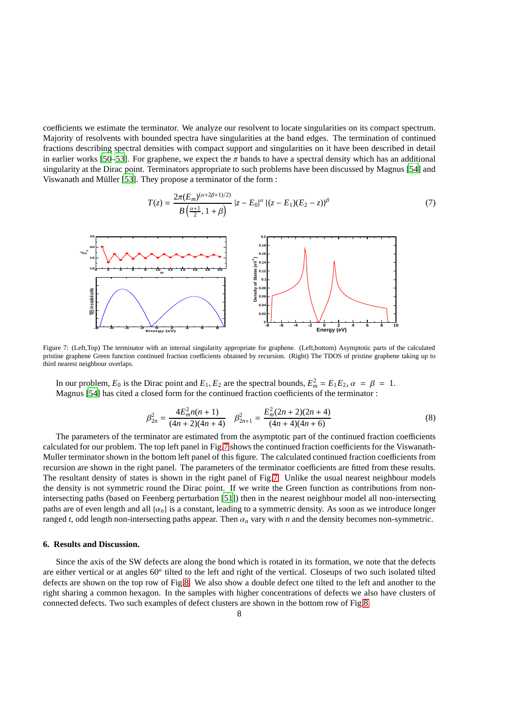coefficients we estimate the terminator. We analyze our resolvent to locate singularities on its compact spectrum. Majority of resolvents with bounded spectra have singularities at the band edges. The termination of continued fractions describing spectral densities with compact support and singularities on it have been described in detail in earlier works [\[50](#page-10-2)[–53\]](#page-10-5). For graphene, we expect the  $\pi$  bands to have a spectral density which has an additional singularity at the Dirac point. Terminators appropriate to such problems have been discussed by Magnus [\[54](#page-10-15)] and Viswanath and Müller [\[53\]](#page-10-5). They propose a terminator of the form :

$$
T(z) = \frac{2\pi(E_m)^{(\alpha+2\beta+1)/2)}}{B(\frac{\alpha+1}{2}, 1+\beta)} |z - E_0|^{\alpha} \{ (z - E_1)(E_2 - z) \}^{\beta}
$$
(7)



<span id="page-7-0"></span>Figure 7: (Left,Top) The terminator with an internal singularity appropriate for graphene. (Left,bottom) Asymptotic parts of the calculated pristine graphene Green function continued fraction coefficients obtained by recursion. (Right) The TDOS of pristine graphene taking up to third nearest neighbour overlaps.

In our problem,  $E_0$  is the Dirac point and  $E_1, E_2$  are the spectral bounds,  $E_m^2 = E_1 E_2$ ,  $\alpha = \beta = 1$ . Magnus [\[54\]](#page-10-15) has cited a closed form for the continued fraction coefficients of the terminator :

$$
\beta_{2n}^2 = \frac{4E_m^2 n(n+1)}{(4n+2)(4n+4)} \quad \beta_{2n+1}^2 = \frac{E_m^2 (2n+2)(2n+4)}{(4n+4)(4n+6)}\tag{8}
$$

The parameters of the terminator are estimated from the asymptotic part of the continued fraction coefficients calculated for our problem. The top left panel in Fig[.7](#page-7-0) shows the continued fraction coefficients for the Viswanath-Muller terminator shown in the bottom left panel of this figure. The calculated continued fraction coefficients from recursion are shown in the right panel. The parameters of the terminator coefficients are fitted from these results. The resultant density of states is shown in the right panel of Fig[.7.](#page-7-0) Unlike the usual nearest neighbour models the density is not symmetric round the Dirac point. If we write the Green function as contributions from nonintersecting paths (based on Feenberg perturbation [\[51\]](#page-10-3)) then in the nearest neighbour model all non-intersecting paths are of even length and all  $\{a_n\}$  is a constant, leading to a symmetric density. As soon as we introduce longer ranged *t*, odd length non-intersecting paths appear. Then  $\alpha_n$  vary with *n* and the density becomes non-symmetric.

# **6. Results and Discussion.**

Since the axis of the SW defects are along the bond which is rotated in its formation, we note that the defects are either vertical or at angles 60<sup>o</sup> tilted to the left and right of the vertical. Closeups of two such isolated tilted defects are shown on the top row of Fig[.8.](#page-8-4) We also show a double defect one tilted to the left and another to the right sharing a common hexagon. In the samples with higher concentrations of defects we also have clusters of connected defects. Two such examples of defect clusters are shown in the bottom row of Fig[.8.](#page-8-4)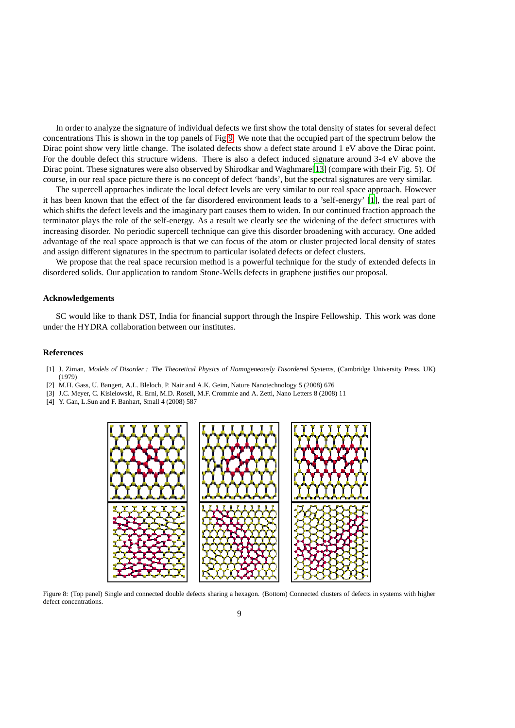In order to analyze the signature of individual defects we first show the total density of states for several defect concentrations This is shown in the top panels of Fig[.9.](#page-9-24) We note that the occupied part of the spectrum below the Dirac point show very little change. The isolated defects show a defect state around 1 eV above the Dirac point. For the double defect this structure widens. There is also a defect induced signature around 3-4 eV above the Dirac point. These signatures were also observed by Shirodkar and Waghmare[\[13\]](#page-9-7) (compare with their Fig. 5). Of course, in our real space picture there is no concept of defect 'bands', but the spectral signatures are very similar.

The supercell approaches indicate the local defect levels are very similar to our real space approach. However it has been known that the effect of the far disordered environment leads to a 'self-energy' [\[1\]](#page-8-0), the real part of which shifts the defect levels and the imaginary part causes them to widen. In our continued fraction approach the terminator plays the role of the self-energy. As a result we clearly see the widening of the defect structures with increasing disorder. No periodic supercell technique can give this disorder broadening with accuracy. One added advantage of the real space approach is that we can focus of the atom or cluster projected local density of states and assign different signatures in the spectrum to particular isolated defects or defect clusters.

We propose that the real space recursion method is a powerful technique for the study of extended defects in disordered solids. Our application to random Stone-Wells defects in graphene justifies our proposal.

# **Acknowledgements**

SC would like to thank DST, India for financial support through the Inspire Fellowship. This work was done under the HYDRA collaboration between our institutes.

#### **References**

- <span id="page-8-0"></span>[1] J. Ziman, Models of Disorder : The Theoretical Physics of Homogeneously Disordered Systems, (Cambridge University Press, UK) (1979)
- <span id="page-8-1"></span>[2] M.H. Gass, U. Bangert, A.L. Bleloch, P. Nair and A.K. Geim, Nature Nanotechnology 5 (2008) 676
- <span id="page-8-2"></span>[3] J.C. Meyer, C. Kisielowski, R. Erni, M.D. Rosell, M.F. Crommie and A. Zettl, Nano Letters 8 (2008) 11
- <span id="page-8-3"></span>[4] Y. Gan, L.Sun and F. Banhart, Small 4 (2008) 587



<span id="page-8-4"></span>Figure 8: (Top panel) Single and connected double defects sharing a hexagon. (Bottom) Connected clusters of defects in systems with higher defect concentrations.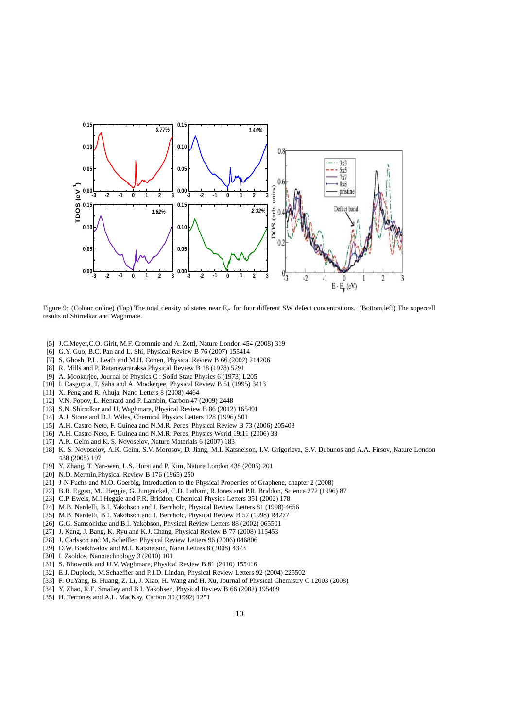

<span id="page-9-24"></span>Figure 9: (Colour online) (Top) The total density of states near E<sub>F</sub> for four different SW defect concentrations. (Bottom,left) The supercell results of Shirodkar and Waghmare.

- <span id="page-9-0"></span>[5] J.C.Meyer,C.O. Girit, M.F. Crommie and A. Zettl, Nature London 454 (2008) 319
- <span id="page-9-1"></span>[6] G.Y. Guo, B.C. Pan and L. Shi, Physical Review B 76 (2007) 155414
- <span id="page-9-2"></span>[7] S. Ghosh, P.L. Leath and M.H. Cohen, Physical Review B 66 (2002) 214206
- <span id="page-9-3"></span>[8] R. Mills and P. Ratanavararaksa,Physical Review B 18 (1978) 5291
- <span id="page-9-4"></span>[9] A. Mookerjee, Journal of Physics C : Solid State Physics 6 (1973) L205
- <span id="page-9-5"></span>[10] I. Dasgupta, T. Saha and A. Mookerjee, Physical Review B 51 (1995) 3413
- <span id="page-9-6"></span>[11] X. Peng and R. Ahuja, Nano Letters 8 (2008) 4464
- <span id="page-9-8"></span>[12] V.N. Popov, L. Henrard and P. Lambin, Carbon 47 (2009) 2448
- <span id="page-9-7"></span>[13] S.N. Shirodkar and U. Waghmare, Physical Review B 86 (2012) 165401
- <span id="page-9-9"></span>[14] A.J. Stone and D.J. Wales, Chemical Physics Letters 128 (1996) 501
- <span id="page-9-10"></span>[15] A.H. Castro Neto, F. Guinea and N.M.R. Peres, Physical Review B 73 (2006) 205408
- [16] A.H. Castro Neto, F. Guinea and N.M.R. Peres, Physics World 19:11 (2006) 33
- [17] A.K. Geim and K. S. Novoselov, Nature Materials 6 (2007) 183
- [18] K. S. Novoselov, A.K. Geim, S.V. Morosov, D. Jiang, M.I. Katsnelson, I.V. Grigorieva, S.V. Dubunos and A.A. Firsov, Nature London 438 (2005) 197
- <span id="page-9-11"></span>[19] Y. Zhang, T. Yan-wen, L.S. Horst and P. Kim, Nature London 438 (2005) 201
- <span id="page-9-12"></span>[20] N.D. Mermin,Physical Review B 176 (1965) 250
- <span id="page-9-13"></span>[21] J-N Fuchs and M.O. Goerbig, Introduction to the Physical Properties of Graphene, chapter 2 (2008)
- <span id="page-9-14"></span>[22] B.R. Eggen, M.I.Heggie, G. Jungnickel, C.D. Latham, R.Jones and P.R. Briddon, Science 272 (1996) 87
- [23] C.P. Ewels, M.I.Heggie and P.R. Briddon, Chemical Physics Letters 351 (2002) 178
- <span id="page-9-15"></span>[24] M.B. Nardelli, B.I. Yakobson and J. Bernholc, Physical Review Letters 81 (1998) 4656
- [25] M.B. Nardelli, B.I. Yakobson and J. Bernholc, Physical Review B 57 (1998) R4277
- <span id="page-9-16"></span>[26] G.G. Samsonidze and B.I. Yakobson, Physical Review Letters 88 (2002) 065501
- <span id="page-9-17"></span>[27] J. Kang, J. Bang, K. Ryu and K.J. Chang, Physical Review B 77 (2008) 115453
- <span id="page-9-23"></span>[28] J. Carlsson and M, Scheffler, Physical Review Letters 96 (2006) 046806
- <span id="page-9-18"></span>[29] D.W. Boukhvalov and M.I. Katsnelson, Nano Lettres 8 (2008) 4373
- <span id="page-9-19"></span>[30] I. Zsoldos, Nanotechnology 3 (2010) 101
- <span id="page-9-20"></span>[31] S. Bhowmik and U.V. Waghmare, Physical Review B 81 (2010) 155416
- [32] E.J. Duplock, M.Schaeffler and P.J.D. Lindan, Physical Review Letters 92 (2004) 225502
- [33] F. OuYang, B. Huang, Z. Li, J. Xiao, H. Wang and H. Xu, Journal of Physical Chemistry C 12003 (2008)
- <span id="page-9-21"></span>[34] Y. Zhao, R.E. Smalley and B.I. Yakobsen, Physical Review B 66 (2002) 195409
- <span id="page-9-22"></span>[35] H. Terrones and A.L. MacKay, Carbon 30 (1992) 1251